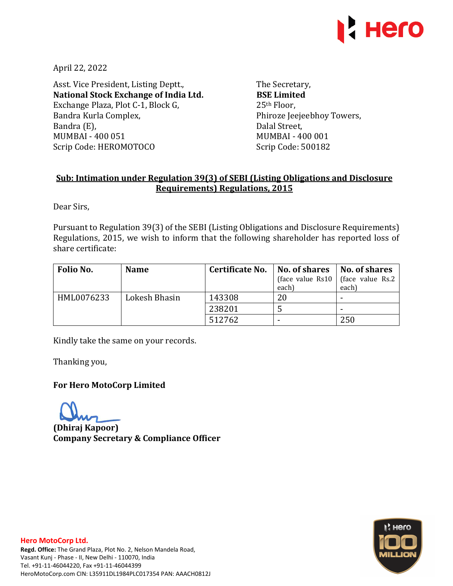

April 22, 2022

Asst. Vice President, Listing Deptt., **National Stock Exchange of India Ltd.**  Exchange Plaza, Plot C-1, Block G, Bandra Kurla Complex, Bandra (E), MUMBAI - 400 051 Scrip Code: HEROMOTOCO

The Secretary, **BSE Limited**  25th Floor, Phiroze Jeejeebhoy Towers, Dalal Street, MUMBAI - 400 001 Scrip Code: 500182

## **Sub: Intimation under Regulation 39(3) of SEBI (Listing Obligations and Disclosure Requirements) Regulations, 2015**

Dear Sirs,

Pursuant to Regulation 39(3) of the SEBI (Listing Obligations and Disclosure Requirements) Regulations, 2015, we wish to inform that the following shareholder has reported loss of share certificate:

| Folio No.  | <b>Name</b>   | Certificate No. | No. of shares   No. of shares<br>each) | (face value Rs10   (face value Rs.2)<br>each) |
|------------|---------------|-----------------|----------------------------------------|-----------------------------------------------|
| HML0076233 | Lokesh Bhasin | 143308          | 20                                     |                                               |
|            |               | 238201          |                                        |                                               |
|            |               | 512762          |                                        | 250                                           |

Kindly take the same on your records.

Thanking you,

**For Hero MotoCorp Limited** 

**(Dhiraj Kapoor) Company Secretary & Compliance Officer**



## **Hero MotoCorp Ltd.**